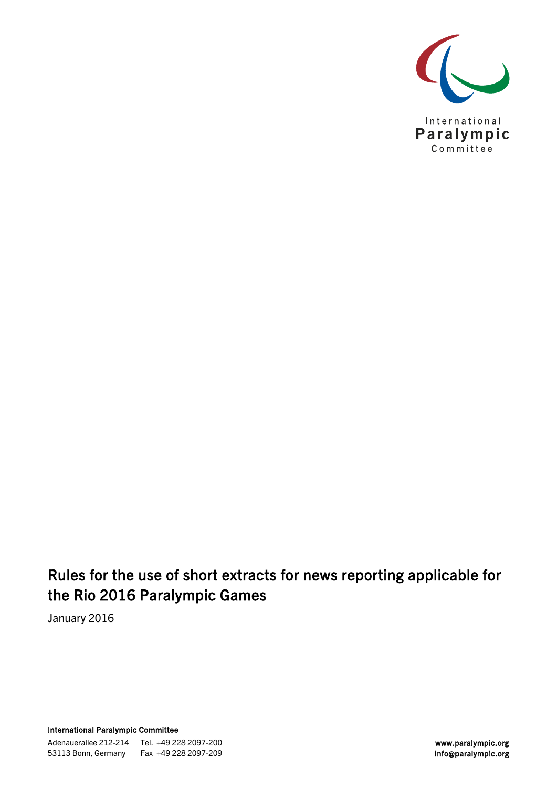

## Rules for the use of short extracts for news reporting applicable for the Rio 2016 Paralympic Games

January 2016

International Paralympic Committee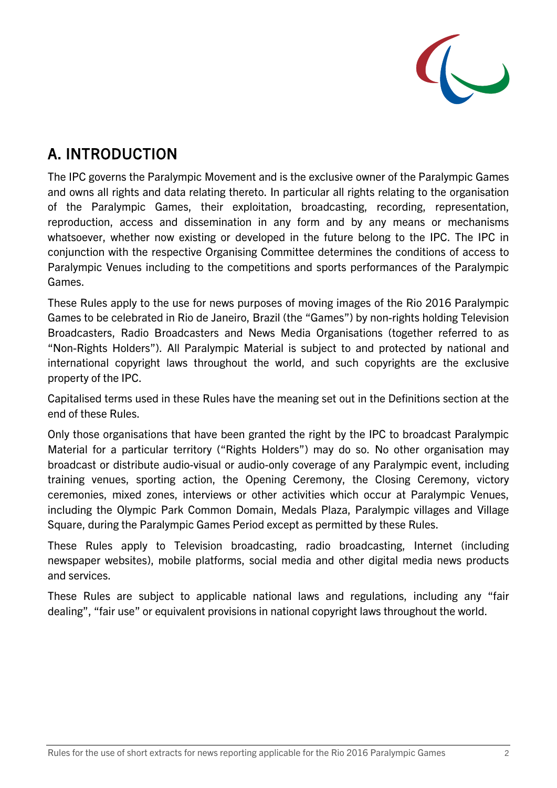

# A. INTRODUCTION

The IPC governs the Paralympic Movement and is the exclusive owner of the Paralympic Games and owns all rights and data relating thereto. In particular all rights relating to the organisation of the Paralympic Games, their exploitation, broadcasting, recording, representation, reproduction, access and dissemination in any form and by any means or mechanisms whatsoever, whether now existing or developed in the future belong to the IPC. The IPC in conjunction with the respective Organising Committee determines the conditions of access to Paralympic Venues including to the competitions and sports performances of the Paralympic Games.

These Rules apply to the use for news purposes of moving images of the Rio 2016 Paralympic Games to be celebrated in Rio de Janeiro, Brazil (the "Games") by non-rights holding Television Broadcasters, Radio Broadcasters and News Media Organisations (together referred to as "Non-Rights Holders"). All Paralympic Material is subject to and protected by national and international copyright laws throughout the world, and such copyrights are the exclusive property of the IPC.

Capitalised terms used in these Rules have the meaning set out in the Definitions section at the end of these Rules.

Only those organisations that have been granted the right by the IPC to broadcast Paralympic Material for a particular territory ("Rights Holders") may do so. No other organisation may broadcast or distribute audio-visual or audio-only coverage of any Paralympic event, including training venues, sporting action, the Opening Ceremony, the Closing Ceremony, victory ceremonies, mixed zones, interviews or other activities which occur at Paralympic Venues, including the Olympic Park Common Domain, Medals Plaza, Paralympic villages and Village Square, during the Paralympic Games Period except as permitted by these Rules.

These Rules apply to Television broadcasting, radio broadcasting, Internet (including newspaper websites), mobile platforms, social media and other digital media news products and services.

These Rules are subject to applicable national laws and regulations, including any "fair dealing", "fair use" or equivalent provisions in national copyright laws throughout the world.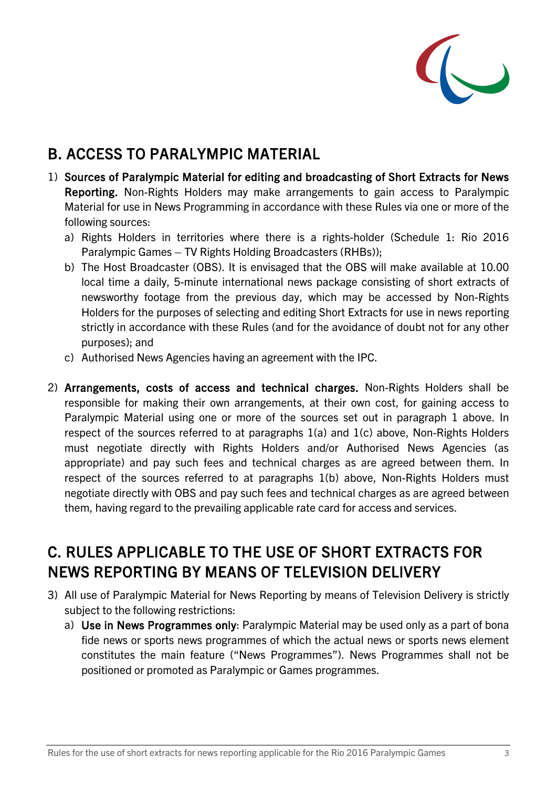

# B. ACCESS TO PARALYMPIC MATERIAL

- 1) Sources of Paralympic Material for editing and broadcasting of Short Extracts for News Reporting. Non-Rights Holders may make arrangements to gain access to Paralympic Material for use in News Programming in accordance with these Rules via one or more of the following sources:
	- a) Rights Holders in territories where there is a rights-holder (Schedule 1: Rio 2016 Paralympic Games – TV Rights Holding Broadcasters (RHBs));
	- b) The Host Broadcaster (OBS). It is envisaged that the OBS will make available at 10.00 local time a daily, 5-minute international news package consisting of short extracts of newsworthy footage from the previous day, which may be accessed by Non-Rights Holders for the purposes of selecting and editing Short Extracts for use in news reporting strictly in accordance with these Rules (and for the avoidance of doubt not for any other purposes); and
	- c) Authorised News Agencies having an agreement with the IPC.
- 2) Arrangements, costs of access and technical charges. Non-Rights Holders shall be responsible for making their own arrangements, at their own cost, for gaining access to Paralympic Material using one or more of the sources set out in paragraph 1 above. In respect of the sources referred to at paragraphs 1(a) and 1(c) above, Non-Rights Holders must negotiate directly with Rights Holders and/or Authorised News Agencies (as appropriate) and pay such fees and technical charges as are agreed between them. In respect of the sources referred to at paragraphs 1(b) above, Non-Rights Holders must negotiate directly with OBS and pay such fees and technical charges as are agreed between them, having regard to the prevailing applicable rate card for access and services.

# C. RULES APPLICABLE TO THE USE OF SHORT EXTRACTS FOR NEWS REPORTING BY MEANS OF TELEVISION DELIVERY

- 3) All use of Paralympic Material for News Reporting by means of Television Delivery is strictly subject to the following restrictions:
	- a) Use in News Programmes only: Paralympic Material may be used only as a part of bona fide news or sports news programmes of which the actual news or sports news element constitutes the main feature ("News Programmes"). News Programmes shall not be positioned or promoted as Paralympic or Games programmes.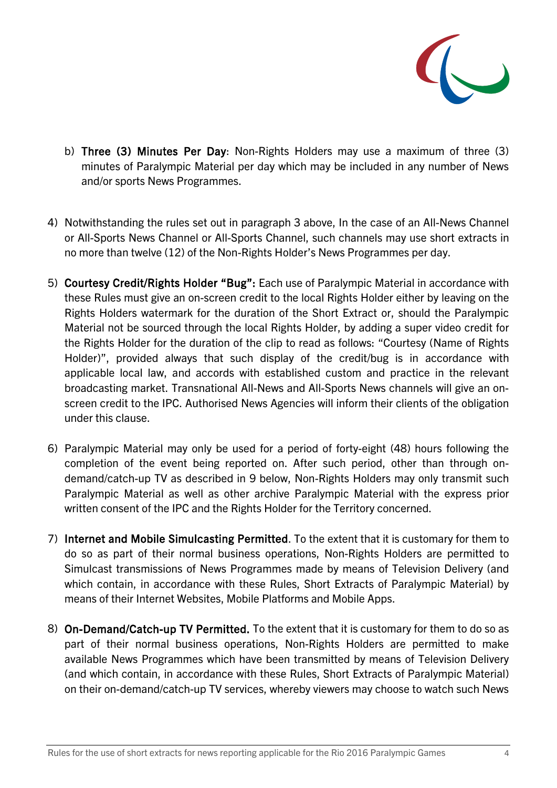

- b) Three (3) Minutes Per Day: Non-Rights Holders may use a maximum of three (3) minutes of Paralympic Material per day which may be included in any number of News and/or sports News Programmes.
- 4) Notwithstanding the rules set out in paragraph 3 above, In the case of an All-News Channel or All-Sports News Channel or All-Sports Channel, such channels may use short extracts in no more than twelve (12) of the Non-Rights Holder's News Programmes per day.
- 5) Courtesy Credit/Rights Holder "Bug": Each use of Paralympic Material in accordance with these Rules must give an on-screen credit to the local Rights Holder either by leaving on the Rights Holders watermark for the duration of the Short Extract or, should the Paralympic Material not be sourced through the local Rights Holder, by adding a super video credit for the Rights Holder for the duration of the clip to read as follows: "Courtesy (Name of Rights Holder)", provided always that such display of the credit/bug is in accordance with applicable local law, and accords with established custom and practice in the relevant broadcasting market. Transnational All-News and All-Sports News channels will give an onscreen credit to the IPC. Authorised News Agencies will inform their clients of the obligation under this clause.
- 6) Paralympic Material may only be used for a period of forty-eight (48) hours following the completion of the event being reported on. After such period, other than through ondemand/catch-up TV as described in 9 below, Non-Rights Holders may only transmit such Paralympic Material as well as other archive Paralympic Material with the express prior written consent of the IPC and the Rights Holder for the Territory concerned.
- 7) Internet and Mobile Simulcasting Permitted. To the extent that it is customary for them to do so as part of their normal business operations, Non-Rights Holders are permitted to Simulcast transmissions of News Programmes made by means of Television Delivery (and which contain, in accordance with these Rules, Short Extracts of Paralympic Material) by means of their Internet Websites, Mobile Platforms and Mobile Apps.
- 8) On-Demand/Catch-up TV Permitted. To the extent that it is customary for them to do so as part of their normal business operations, Non-Rights Holders are permitted to make available News Programmes which have been transmitted by means of Television Delivery (and which contain, in accordance with these Rules, Short Extracts of Paralympic Material) on their on-demand/catch-up TV services, whereby viewers may choose to watch such News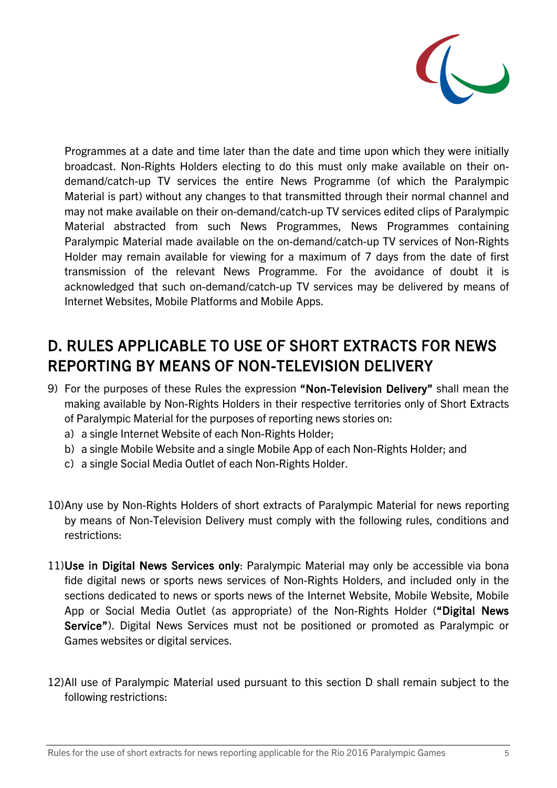

Programmes at a date and time later than the date and time upon which they were initially broadcast. Non-Rights Holders electing to do this must only make available on their ondemand/catch-up TV services the entire News Programme (of which the Paralympic Material is part) without any changes to that transmitted through their normal channel and may not make available on their on-demand/catch-up TV services edited clips of Paralympic Material abstracted from such News Programmes, News Programmes containing Paralympic Material made available on the on-demand/catch-up TV services of Non-Rights Holder may remain available for viewing for a maximum of 7 days from the date of first transmission of the relevant News Programme. For the avoidance of doubt it is acknowledged that such on-demand/catch-up TV services may be delivered by means of Internet Websites, Mobile Platforms and Mobile Apps.

# D. RULES APPLICABLE TO USE OF SHORT EXTRACTS FOR NEWS REPORTING BY MEANS OF NON-TELEVISION DELIVERY

- 9) For the purposes of these Rules the expression "Non-Television Delivery" shall mean the making available by Non-Rights Holders in their respective territories only of Short Extracts of Paralympic Material for the purposes of reporting news stories on:
	- a) a single Internet Website of each Non-Rights Holder;
	- b) a single Mobile Website and a single Mobile App of each Non-Rights Holder; and
	- c) a single Social Media Outlet of each Non-Rights Holder.
- 10)Any use by Non-Rights Holders of short extracts of Paralympic Material for news reporting by means of Non-Television Delivery must comply with the following rules, conditions and restrictions:
- 11)Use in Digital News Services only: Paralympic Material may only be accessible via bona fide digital news or sports news services of Non-Rights Holders, and included only in the sections dedicated to news or sports news of the Internet Website, Mobile Website, Mobile App or Social Media Outlet (as appropriate) of the Non-Rights Holder ("Digital News Service"). Digital News Services must not be positioned or promoted as Paralympic or Games websites or digital services.
- 12)All use of Paralympic Material used pursuant to this section D shall remain subject to the following restrictions: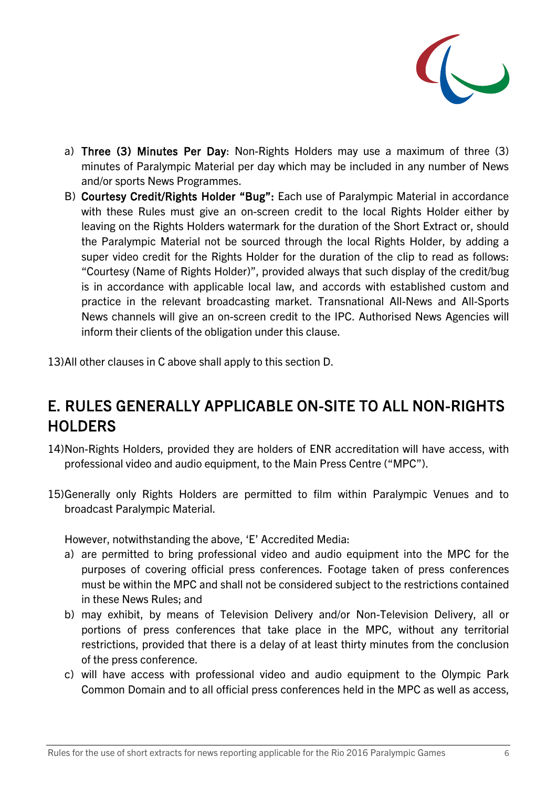

- a) Three (3) Minutes Per Day: Non-Rights Holders may use a maximum of three (3) minutes of Paralympic Material per day which may be included in any number of News and/or sports News Programmes.
- B) Courtesy Credit/Rights Holder "Bug": Each use of Paralympic Material in accordance with these Rules must give an on-screen credit to the local Rights Holder either by leaving on the Rights Holders watermark for the duration of the Short Extract or, should the Paralympic Material not be sourced through the local Rights Holder, by adding a super video credit for the Rights Holder for the duration of the clip to read as follows: "Courtesy (Name of Rights Holder)", provided always that such display of the credit/bug is in accordance with applicable local law, and accords with established custom and practice in the relevant broadcasting market. Transnational All-News and All-Sports News channels will give an on-screen credit to the IPC. Authorised News Agencies will inform their clients of the obligation under this clause.
- 13)All other clauses in C above shall apply to this section D.

## E. RULES GENERALLY APPLICABLE ON-SITE TO ALL NON-RIGHTS **HOLDERS**

- 14)Non-Rights Holders, provided they are holders of ENR accreditation will have access, with professional video and audio equipment, to the Main Press Centre ("MPC").
- 15)Generally only Rights Holders are permitted to film within Paralympic Venues and to broadcast Paralympic Material.

However, notwithstanding the above, 'E' Accredited Media:

- a) are permitted to bring professional video and audio equipment into the MPC for the purposes of covering official press conferences. Footage taken of press conferences must be within the MPC and shall not be considered subject to the restrictions contained in these News Rules; and
- b) may exhibit, by means of Television Delivery and/or Non-Television Delivery, all or portions of press conferences that take place in the MPC, without any territorial restrictions, provided that there is a delay of at least thirty minutes from the conclusion of the press conference.
- c) will have access with professional video and audio equipment to the Olympic Park Common Domain and to all official press conferences held in the MPC as well as access,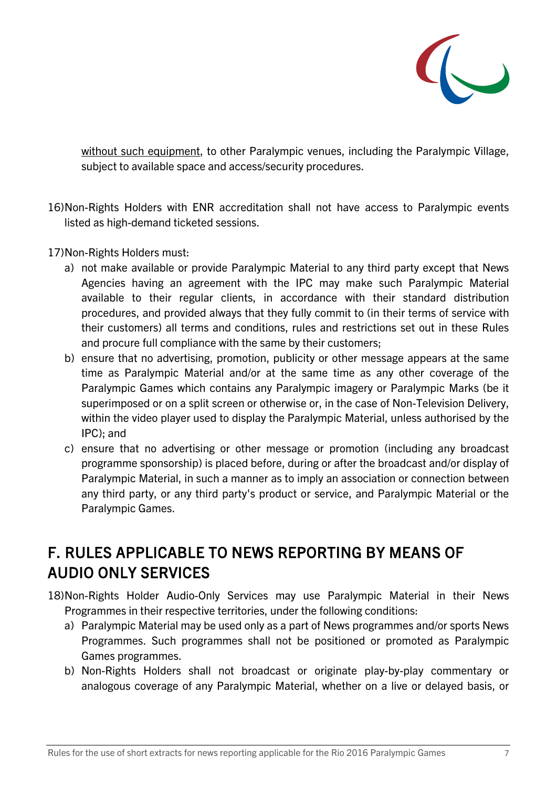

without such equipment, to other Paralympic venues, including the Paralympic Village, subject to available space and access/security procedures.

- 16)Non-Rights Holders with ENR accreditation shall not have access to Paralympic events listed as high-demand ticketed sessions.
- 17)Non-Rights Holders must:
	- a) not make available or provide Paralympic Material to any third party except that News Agencies having an agreement with the IPC may make such Paralympic Material available to their regular clients, in accordance with their standard distribution procedures, and provided always that they fully commit to (in their terms of service with their customers) all terms and conditions, rules and restrictions set out in these Rules and procure full compliance with the same by their customers;
	- b) ensure that no advertising, promotion, publicity or other message appears at the same time as Paralympic Material and/or at the same time as any other coverage of the Paralympic Games which contains any Paralympic imagery or Paralympic Marks (be it superimposed or on a split screen or otherwise or, in the case of Non-Television Delivery, within the video player used to display the Paralympic Material, unless authorised by the IPC); and
	- c) ensure that no advertising or other message or promotion (including any broadcast programme sponsorship) is placed before, during or after the broadcast and/or display of Paralympic Material, in such a manner as to imply an association or connection between any third party, or any third party's product or service, and Paralympic Material or the Paralympic Games.

# F. RULES APPLICABLE TO NEWS REPORTING BY MEANS OF AUDIO ONLY SERVICES

- 18)Non-Rights Holder Audio-Only Services may use Paralympic Material in their News Programmes in their respective territories, under the following conditions:
	- a) Paralympic Material may be used only as a part of News programmes and/or sports News Programmes. Such programmes shall not be positioned or promoted as Paralympic Games programmes.
	- b) Non-Rights Holders shall not broadcast or originate play-by-play commentary or analogous coverage of any Paralympic Material, whether on a live or delayed basis, or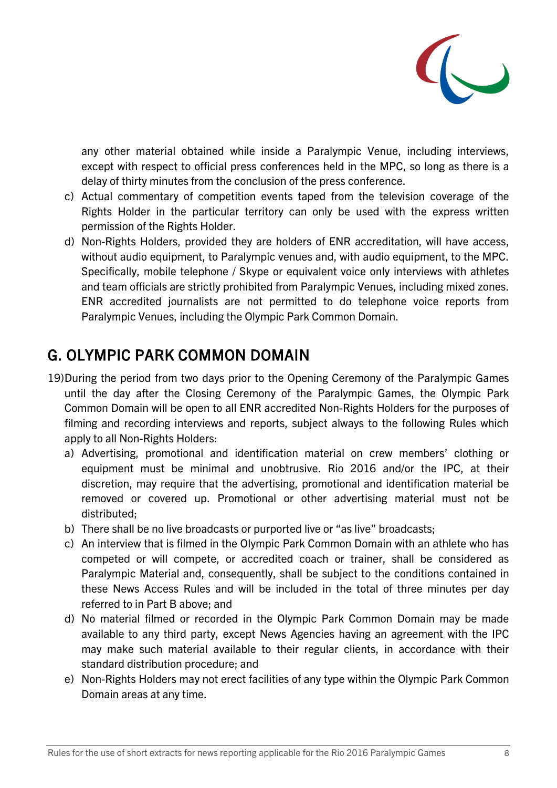

any other material obtained while inside a Paralympic Venue, including interviews, except with respect to official press conferences held in the MPC, so long as there is a delay of thirty minutes from the conclusion of the press conference.

- c) Actual commentary of competition events taped from the television coverage of the Rights Holder in the particular territory can only be used with the express written permission of the Rights Holder.
- d) Non-Rights Holders, provided they are holders of ENR accreditation, will have access, without audio equipment, to Paralympic venues and, with audio equipment, to the MPC. Specifically, mobile telephone / Skype or equivalent voice only interviews with athletes and team officials are strictly prohibited from Paralympic Venues, including mixed zones. ENR accredited journalists are not permitted to do telephone voice reports from Paralympic Venues, including the Olympic Park Common Domain.

## G. OLYMPIC PARK COMMON DOMAIN

- 19)During the period from two days prior to the Opening Ceremony of the Paralympic Games until the day after the Closing Ceremony of the Paralympic Games, the Olympic Park Common Domain will be open to all ENR accredited Non-Rights Holders for the purposes of filming and recording interviews and reports, subject always to the following Rules which apply to all Non-Rights Holders:
	- a) Advertising, promotional and identification material on crew members' clothing or equipment must be minimal and unobtrusive. Rio 2016 and/or the IPC, at their discretion, may require that the advertising, promotional and identification material be removed or covered up. Promotional or other advertising material must not be distributed;
	- b) There shall be no live broadcasts or purported live or "as live" broadcasts;
	- c) An interview that is filmed in the Olympic Park Common Domain with an athlete who has competed or will compete, or accredited coach or trainer, shall be considered as Paralympic Material and, consequently, shall be subject to the conditions contained in these News Access Rules and will be included in the total of three minutes per day referred to in Part B above; and
	- d) No material filmed or recorded in the Olympic Park Common Domain may be made available to any third party, except News Agencies having an agreement with the IPC may make such material available to their regular clients, in accordance with their standard distribution procedure; and
	- e) Non-Rights Holders may not erect facilities of any type within the Olympic Park Common Domain areas at any time.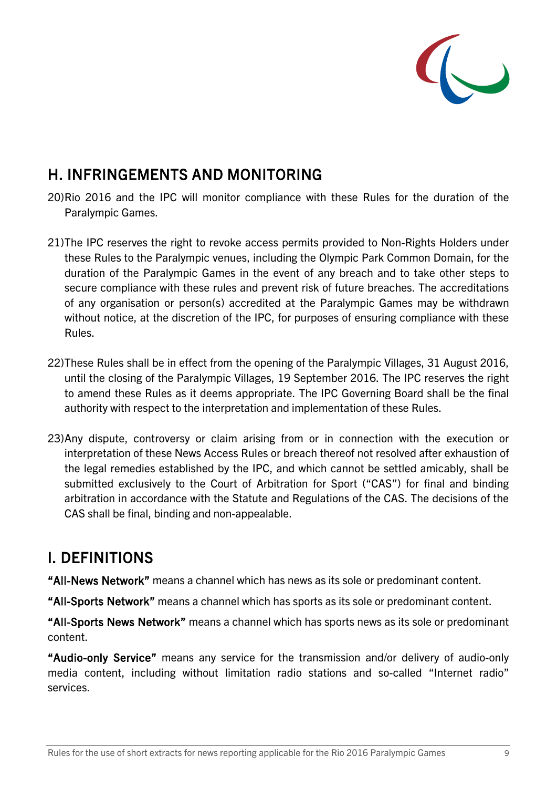

#### H. INFRINGEMENTS AND MONITORING

- 20)Rio 2016 and the IPC will monitor compliance with these Rules for the duration of the Paralympic Games.
- 21)The IPC reserves the right to revoke access permits provided to Non-Rights Holders under these Rules to the Paralympic venues, including the Olympic Park Common Domain, for the duration of the Paralympic Games in the event of any breach and to take other steps to secure compliance with these rules and prevent risk of future breaches. The accreditations of any organisation or person(s) accredited at the Paralympic Games may be withdrawn without notice, at the discretion of the IPC, for purposes of ensuring compliance with these Rules.
- 22)These Rules shall be in effect from the opening of the Paralympic Villages, 31 August 2016, until the closing of the Paralympic Villages, 19 September 2016. The IPC reserves the right to amend these Rules as it deems appropriate. The IPC Governing Board shall be the final authority with respect to the interpretation and implementation of these Rules.
- 23)Any dispute, controversy or claim arising from or in connection with the execution or interpretation of these News Access Rules or breach thereof not resolved after exhaustion of the legal remedies established by the IPC, and which cannot be settled amicably, shall be submitted exclusively to the Court of Arbitration for Sport ("CAS") for final and binding arbitration in accordance with the Statute and Regulations of the CAS. The decisions of the CAS shall be final, binding and non-appealable.

## I. DEFINITIONS

"All-News Network" means a channel which has news as its sole or predominant content.

"All-Sports Network" means a channel which has sports as its sole or predominant content.

"All-Sports News Network" means a channel which has sports news as its sole or predominant content.

"Audio-only Service" means any service for the transmission and/or delivery of audio-only media content, including without limitation radio stations and so-called "Internet radio" services.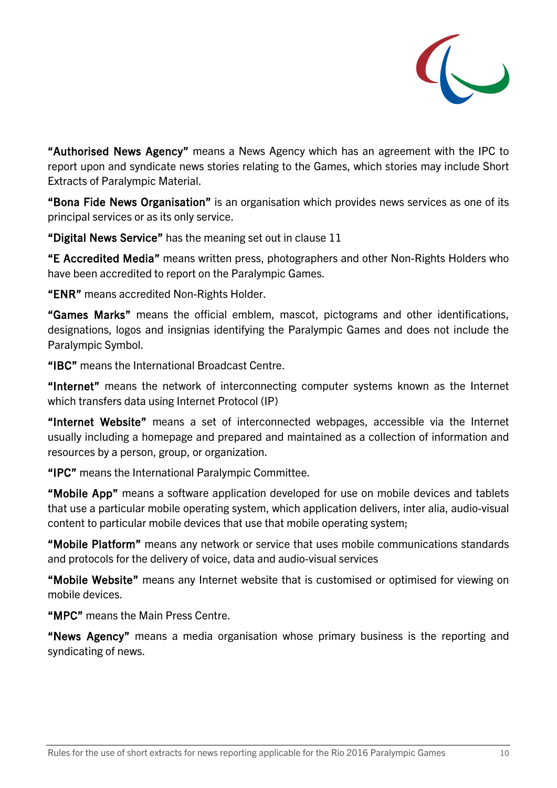

"Authorised News Agency" means a News Agency which has an agreement with the IPC to report upon and syndicate news stories relating to the Games, which stories may include Short Extracts of Paralympic Material.

"Bona Fide News Organisation" is an organisation which provides news services as one of its principal services or as its only service.

"Digital News Service" has the meaning set out in clause 11

"E Accredited Media" means written press, photographers and other Non-Rights Holders who have been accredited to report on the Paralympic Games.

"ENR" means accredited Non-Rights Holder.

"Games Marks" means the official emblem, mascot, pictograms and other identifications, designations, logos and insignias identifying the Paralympic Games and does not include the Paralympic Symbol.

"IBC" means the International Broadcast Centre.

"Internet" means the network of interconnecting computer systems known as the Internet which transfers data using Internet Protocol (IP)

"Internet Website" means a set of interconnected webpages, accessible via the Internet usually including a homepage and prepared and maintained as a collection of information and resources by a person, group, or organization.

"IPC" means the International Paralympic Committee.

"Mobile App" means a software application developed for use on mobile devices and tablets that use a particular mobile operating system, which application delivers, inter alia, audio-visual content to particular mobile devices that use that mobile operating system;

"Mobile Platform" means any network or service that uses mobile communications standards and protocols for the delivery of voice, data and audio-visual services

"Mobile Website" means any Internet website that is customised or optimised for viewing on mobile devices.

"MPC" means the Main Press Centre.

"News Agency" means a media organisation whose primary business is the reporting and syndicating of news.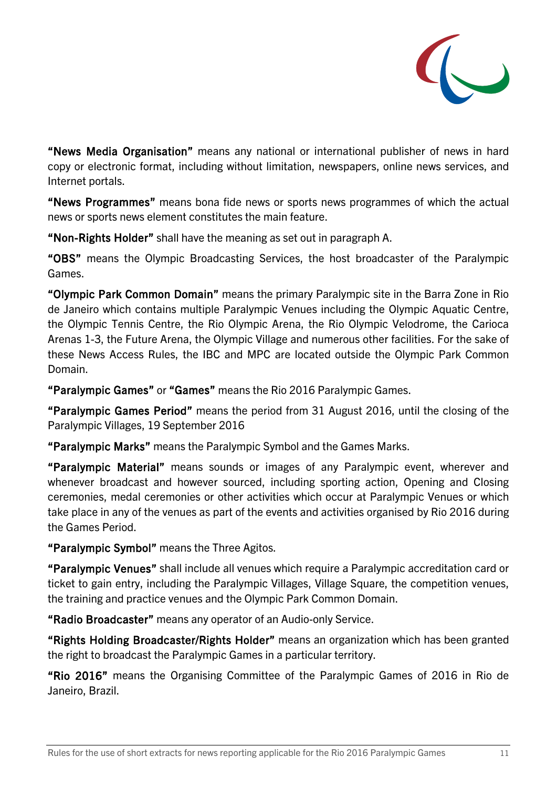

"News Media Organisation" means any national or international publisher of news in hard copy or electronic format, including without limitation, newspapers, online news services, and Internet portals.

"News Programmes" means bona fide news or sports news programmes of which the actual news or sports news element constitutes the main feature.

"Non-Rights Holder" shall have the meaning as set out in paragraph A.

"OBS" means the Olympic Broadcasting Services, the host broadcaster of the Paralympic Games.

"Olympic Park Common Domain" means the primary Paralympic site in the Barra Zone in Rio de Janeiro which contains multiple Paralympic Venues including the Olympic Aquatic Centre, the Olympic Tennis Centre, the Rio Olympic Arena, the Rio Olympic Velodrome, the Carioca Arenas 1-3, the Future Arena, the Olympic Village and numerous other facilities. For the sake of these News Access Rules, the IBC and MPC are located outside the Olympic Park Common Domain.

"Paralympic Games" or "Games" means the Rio 2016 Paralympic Games.

"Paralympic Games Period" means the period from 31 August 2016, until the closing of the Paralympic Villages, 19 September 2016

"Paralympic Marks" means the Paralympic Symbol and the Games Marks.

"Paralympic Material" means sounds or images of any Paralympic event, wherever and whenever broadcast and however sourced, including sporting action, Opening and Closing ceremonies, medal ceremonies or other activities which occur at Paralympic Venues or which take place in any of the venues as part of the events and activities organised by Rio 2016 during the Games Period.

"Paralympic Symbol" means the Three Agitos.

"Paralympic Venues" shall include all venues which require a Paralympic accreditation card or ticket to gain entry, including the Paralympic Villages, Village Square, the competition venues, the training and practice venues and the Olympic Park Common Domain.

"Radio Broadcaster" means any operator of an Audio-only Service.

"Rights Holding Broadcaster/Rights Holder" means an organization which has been granted the right to broadcast the Paralympic Games in a particular territory.

"Rio 2016" means the Organising Committee of the Paralympic Games of 2016 in Rio de Janeiro, Brazil.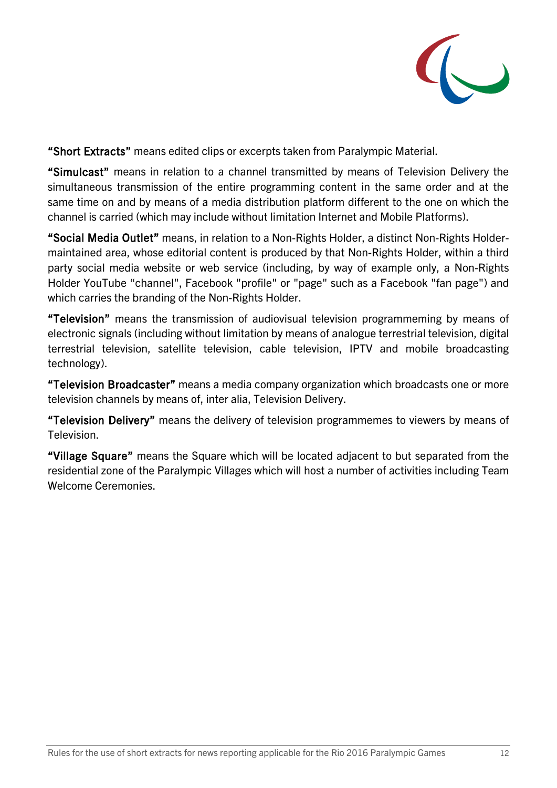

"Short Extracts" means edited clips or excerpts taken from Paralympic Material.

"Simulcast" means in relation to a channel transmitted by means of Television Delivery the simultaneous transmission of the entire programming content in the same order and at the same time on and by means of a media distribution platform different to the one on which the channel is carried (which may include without limitation Internet and Mobile Platforms).

"Social Media Outlet" means, in relation to a Non-Rights Holder, a distinct Non-Rights Holdermaintained area, whose editorial content is produced by that Non-Rights Holder, within a third party social media website or web service (including, by way of example only, a Non-Rights Holder YouTube "channel", Facebook "profile" or "page" such as a Facebook "fan page") and which carries the branding of the Non-Rights Holder.

"Television" means the transmission of audiovisual television programmeming by means of electronic signals (including without limitation by means of analogue terrestrial television, digital terrestrial television, satellite television, cable television, IPTV and mobile broadcasting technology).

"Television Broadcaster" means a media company organization which broadcasts one or more television channels by means of, inter alia, Television Delivery.

"Television Delivery" means the delivery of television programmemes to viewers by means of Television.

"Village Square" means the Square which will be located adjacent to but separated from the residential zone of the Paralympic Villages which will host a number of activities including Team Welcome Ceremonies.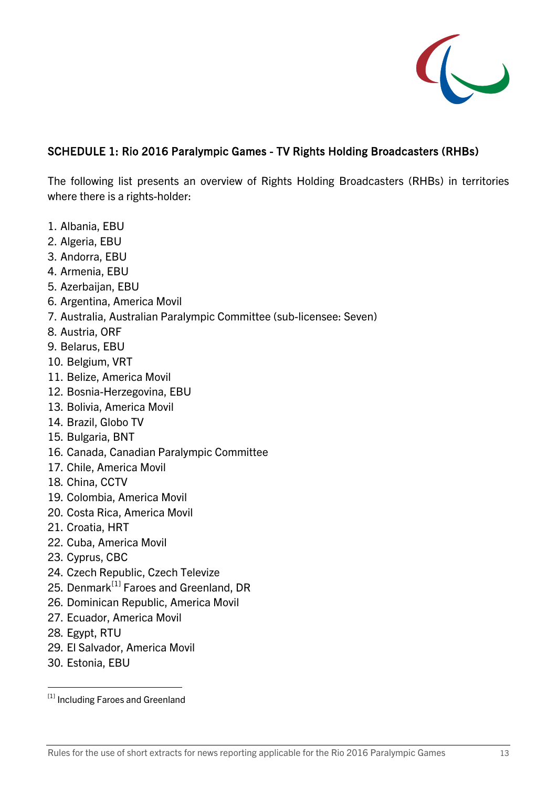

#### SCHEDULE 1: Rio 2016 Paralympic Games - TV Rights Holding Broadcasters (RHBs)

The following list presents an overview of Rights Holding Broadcasters (RHBs) in territories where there is a rights-holder:

- 1. Albania, EBU
- 2. Algeria, EBU
- 3. Andorra, EBU
- 4. Armenia, EBU
- 5. Azerbaijan, EBU
- 6. Argentina, America Movil
- 7. Australia, Australian Paralympic Committee (sub-licensee: Seven)
- 8. Austria, ORF
- 9. Belarus, EBU
- 10. Belgium, VRT
- 11. Belize, America Movil
- 12. Bosnia-Herzegovina, EBU
- 13. Bolivia, America Movil
- 14. Brazil, Globo TV
- 15. Bulgaria, BNT
- 16. Canada, Canadian Paralympic Committee
- 17. Chile, America Movil
- 18. China, CCTV
- 19. Colombia, America Movil
- 20. Costa Rica, America Movil
- 21. Croatia, HRT
- 22. Cuba, America Movil
- 23. Cyprus, CBC
- 24. Czech Republic, Czech Televize
- 25. Denmark<sup>[\[1\]](#page-12-0)</sup> Faroes and Greenland, DR
- 26. Dominican Republic, America Movil
- 27. Ecuador, America Movil
- 28. Egypt, RTU
- 29. El Salvador, America Movil
- 30. Estonia, EBU

<span id="page-12-0"></span><sup>[1]</sup> Including Faroes and Greenland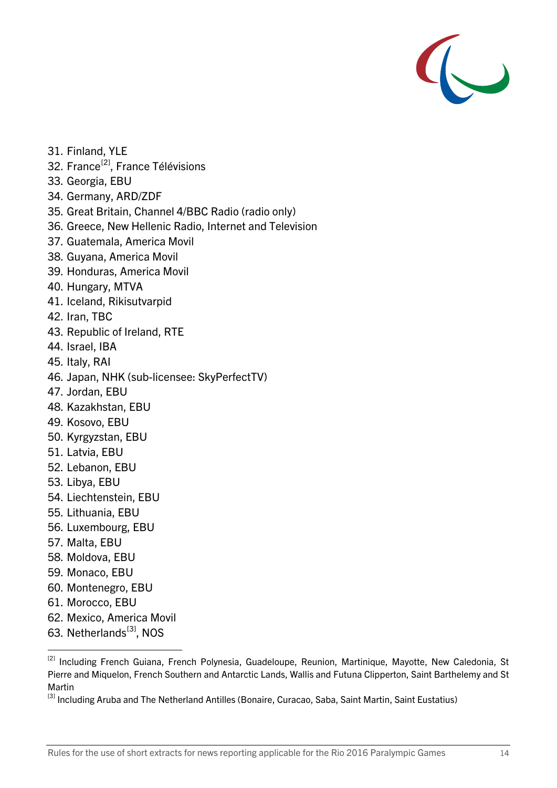

- 31. Finland, YLE
- 32. France<sup>[2]</sup>, France Télévisions
- 33. Georgia, EBU
- 34. Germany, ARD/ZDF
- 35. Great Britain, Channel 4/BBC Radio (radio only)
- 36. Greece, New Hellenic Radio, Internet and Television
- 37. Guatemala, America Movil
- 38. Guyana, America Movil
- 39. Honduras, America Movil
- 40. Hungary, MTVA
- 41. Iceland, Rikisutvarpid
- 42. Iran, TBC
- 43. Republic of Ireland, RTE
- 44. Israel, IBA
- 45. Italy, RAI
- 46. Japan, NHK (sub-licensee: SkyPerfectTV)
- 47. Jordan, EBU
- 48. Kazakhstan, EBU
- 49. Kosovo, EBU
- 50. Kyrgyzstan, EBU
- 51. Latvia, EBU
- 52. Lebanon, EBU
- 53. Libya, EBU
- 54. Liechtenstein, EBU
- 55. Lithuania, EBU
- 56. Luxembourg, EBU
- 57. Malta, EBU
- 58. Moldova, EBU
- 59. Monaco, EBU
- 60. Montenegro, EBU
- 61. Morocco, EBU
- 62. Mexico, America Movil
- 63. Netherlands<sup>[3]</sup>, NOS

<span id="page-13-0"></span><sup>&</sup>lt;sup>[2]</sup> Including French Guiana, French Polynesia, Guadeloupe, Reunion, Martinique, Mayotte, New Caledonia, St Pierre and Miquelon, French Southern and Antarctic Lands, Wallis and Futuna Clipperton, Saint Barthelemy and St Martin

<span id="page-13-1"></span><sup>[3]</sup> Including Aruba and The Netherland Antilles (Bonaire, Curacao, Saba, Saint Martin, Saint Eustatius)